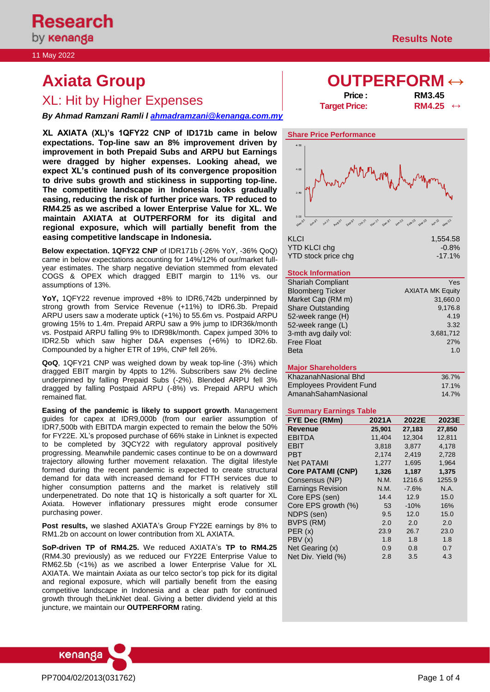11 May 2022

# **Axiata Group b OUTPERFORM** ↔

# XL: Hit by Higher Expenses **Price : Price : RM3.45**<br>**RM4.25 RM4.25**

*By Ahmad Ramzani Ramli l [ahmadramzani@kenanga.com.my](mailto:ahmadramzani@kenanga.com.my)*

**XL AXIATA (XL)'s 1QFY22 CNP of ID171b came in below expectations. Top-line saw an 8% improvement driven by improvement in both Prepaid Subs and ARPU but Earnings were dragged by higher expenses. Looking ahead, we expect XL's continued push of its convergence proposition to drive subs growth and stickiness in supporting top-line. The competitive landscape in Indonesia looks gradually easing, reducing the risk of further price wars. TP reduced to RM4.25 as we ascribed a lower Enterprise Value for XL. We maintain AXIATA at OUTPERFORM for its digital and regional exposure, which will partially benefit from the easing competitive landscape in Indonesia.** 

**Below expectation. 1QFY22 CNP** of IDR171b (-26% YoY, -36% QoQ) came in below expectations accounting for 14%/12% of our/market fullyear estimates. The sharp negative deviation stemmed from elevated COGS & OPEX which dragged EBIT margin to 11% vs. our assumptions of 13%.

**YoY,** 1QFY22 revenue improved +8% to IDR6,742b underpinned by strong growth from Service Revenue (+11%) to IDR6.3b. Prepaid ARPU users saw a moderate uptick (+1%) to 55.6m vs. Postpaid ARPU growing 15% to 1.4m. Prepaid ARPU saw a 9% jump to IDR36k/month vs. Postpaid ARPU falling 9% to IDR98k/month. Capex jumped 30% to IDR2.5b which saw higher D&A expenses (+6%) to IDR2.6b. Compounded by a higher ETR of 19%, CNP fell 26%.

**QoQ**, 1QFY21 CNP was weighed down by weak top-line (-3%) which dragged EBIT margin by 4ppts to 12%. Subscribers saw 2% decline underpinned by falling Prepaid Subs (-2%). Blended ARPU fell 3% dragged by falling Postpaid ARPU (-8%) vs. Prepaid ARPU which remained flat.

**Easing of the pandemic is likely to support growth**. Management guides for capex at IDR9,000b (from our earlier assumption of IDR7,500b with EBITDA margin expected to remain the below the 50% for FY22E. XL's proposed purchase of 66% stake in Linknet is expected to be completed by 3QCY22 with regulatory approval positively progressing. Meanwhile pandemic cases continue to be on a downward trajectory allowing further movement relaxation. The digital lifestyle formed during the recent pandemic is expected to create structural demand for data with increased demand for FTTH services due to higher consumption patterns and the market is relatively still underpenetrated. Do note that 1Q is historically a soft quarter for XL Axiata. However inflationary pressures might erode consumer purchasing power.

**Post results,** we slashed AXIATA's Group FY22E earnings by 8% to RM1.2b on account on lower contribution from XL AXIATA.

**SoP-driven TP of RM4.25.** We reduced AXIATA's **TP to RM4.25** (RM4.30 previously) as we reduced our FY22E Enterprise Value to RM62.5b (<1%) as we ascribed a lower Enterprise Value for XL AXIATA. We maintain Axiata as our telco sector's top pick for its digital and regional exposure, which will partially benefit from the easing competitive landscape in Indonesia and a clear path for continued growth through theLinkNet deal. Giving a better dividend yield at this juncture, we maintain our **OUTPERFORM** rating.



| .                    | .                        |  |
|----------------------|--------------------------|--|
| <b>Target Price:</b> | $RM4.25 \leftrightarrow$ |  |
|                      |                          |  |



| KLCI                | 1,554.58  |
|---------------------|-----------|
| <b>YTD KLCI chg</b> | $-0.8\%$  |
| YTD stock price chg | $-17.1\%$ |

### **Stock Information**

| <b>Shariah Compliant</b> | Yes                     |
|--------------------------|-------------------------|
| <b>Bloomberg Ticker</b>  | <b>AXIATA MK Equity</b> |
| Market Cap (RM m)        | 31,660.0                |
| <b>Share Outstanding</b> | 9,176.8                 |
| 52-week range (H)        | 4.19                    |
| 52-week range (L)        | 3.32                    |
| 3-mth avg daily vol:     | 3,681,712               |
| <b>Free Float</b>        | 27%                     |
| <b>Beta</b>              | 1.0                     |

### **Major Shareholders**

| KhazanahNasional Bhd            | 36.7% |
|---------------------------------|-------|
| <b>Employees Provident Fund</b> | 17.1% |
| AmanahSahamNasional             | 14.7% |

### **Summary Earnings Table**

| <b>FYE Dec (RMm)</b>     | 2021A  | 2022E   | 2023E  |
|--------------------------|--------|---------|--------|
| <b>Revenue</b>           | 25,901 | 27,183  | 27,850 |
| <b>EBITDA</b>            | 11,404 | 12,304  | 12,811 |
| EBIT                     | 3,818  | 3,877   | 4.178  |
| <b>PBT</b>               | 2,174  | 2,419   | 2,728  |
| <b>Net PATAMI</b>        | 1,277  | 1,695   | 1,964  |
| <b>Core PATAMI (CNP)</b> | 1,326  | 1,187   | 1,375  |
| Consensus (NP)           | N.M.   | 1216.6  | 1255.9 |
| <b>Earnings Revision</b> | N.M.   | $-7.6%$ | N.A.   |
| Core EPS (sen)           | 14.4   | 12.9    | 15.0   |
| Core EPS growth (%)      | 53     | $-10%$  | 16%    |
| NDPS (sen)               | 9.5    | 12.0    | 15.0   |
| BVPS (RM)                | 2.0    | 2.0     | 2.0    |
| PER(x)                   | 23.9   | 26.7    | 23.0   |
| PBV (x)                  | 1.8    | 1.8     | 1.8    |
| Net Gearing (x)          | 0.9    | 0.8     | 0.7    |
| Net Div. Yield (%)       | 2.8    | 3.5     | 4.3    |

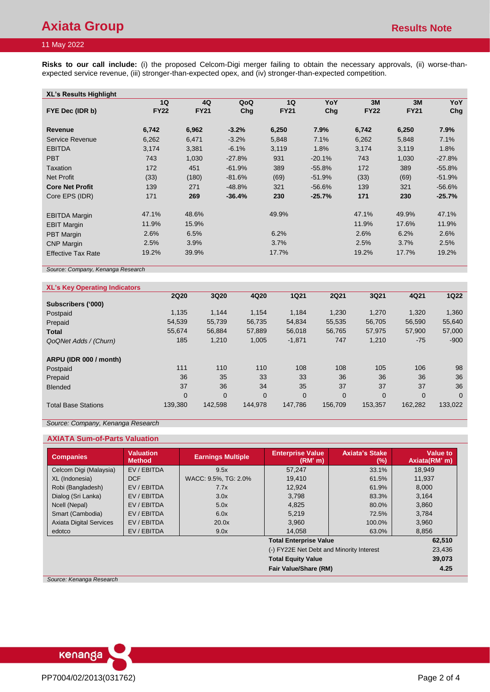## 11 May 2022

**Risks to our call include:** (i) the proposed Celcom-Digi merger failing to obtain the necessary approvals, (ii) worse-thanexpected service revenue, (iii) stronger-than-expected opex, and (iv) stronger-than-expected competition.

| <b>XL's Results Highlight</b> |             |             |          |             |          |             |             |          |
|-------------------------------|-------------|-------------|----------|-------------|----------|-------------|-------------|----------|
|                               | 1Q          | 4Q          | QoQ      | 1Q          | YoY      | 3M          | 3M          | YoY      |
| FYE Dec (IDR b)               | <b>FY22</b> | <b>FY21</b> | Chg      | <b>FY21</b> | Chg      | <b>FY22</b> | <b>FY21</b> | Chg      |
|                               |             |             |          |             |          |             |             |          |
| Revenue                       | 6,742       | 6,962       | $-3.2%$  | 6,250       | 7.9%     | 6,742       | 6,250       | 7.9%     |
| Service Revenue               | 6,262       | 6,471       | $-3.2%$  | 5,848       | 7.1%     | 6,262       | 5,848       | 7.1%     |
| <b>EBITDA</b>                 | 3,174       | 3,381       | $-6.1%$  | 3,119       | 1.8%     | 3,174       | 3,119       | 1.8%     |
| <b>PBT</b>                    | 743         | 1,030       | $-27.8%$ | 931         | $-20.1%$ | 743         | 1,030       | $-27.8%$ |
| Taxation                      | 172         | 451         | $-61.9%$ | 389         | $-55.8%$ | 172         | 389         | $-55.8%$ |
| <b>Net Profit</b>             | (33)        | (180)       | $-81.6%$ | (69)        | $-51.9%$ | (33)        | (69)        | $-51.9%$ |
| <b>Core Net Profit</b>        | 139         | 271         | $-48.8%$ | 321         | $-56.6%$ | 139         | 321         | $-56.6%$ |
| Core EPS (IDR)                | 171         | 269         | $-36.4%$ | 230         | $-25.7%$ | 171         | 230         | $-25.7%$ |
| <b>EBITDA Margin</b>          | 47.1%       | 48.6%       |          | 49.9%       |          | 47.1%       | 49.9%       | 47.1%    |
| <b>EBIT Margin</b>            | 11.9%       | 15.9%       |          |             |          | 11.9%       | 17.6%       | 11.9%    |
| <b>PBT Margin</b>             | 2.6%        | 6.5%        |          | 6.2%        |          | 2.6%        | 6.2%        | 2.6%     |
| <b>CNP Margin</b>             | 2.5%        | 3.9%        |          | 3.7%        |          | 2.5%        | 3.7%        | 2.5%     |
| <b>Effective Tax Rate</b>     | 19.2%       | 39.9%       |          | 17.7%       |          | 19.2%       | 17.7%       | 19.2%    |

*Source: Company, Kenanga Research*

| <b>XL's Key Operating Indicators</b> |                |                |          |                |             |                |          |             |
|--------------------------------------|----------------|----------------|----------|----------------|-------------|----------------|----------|-------------|
|                                      | <b>2Q20</b>    | 3Q20           | 4Q20     | <b>1Q21</b>    | <b>2Q21</b> | 3Q21           | 4Q21     | <b>1Q22</b> |
| Subscribers ('000)                   |                |                |          |                |             |                |          |             |
| Postpaid                             | 1,135          | 1.144          | 1,154    | 1,184          | 1,230       | 1,270          | 1,320    | 1,360       |
| Prepaid                              | 54,539         | 55.739         | 56.735   | 54,834         | 55,535      | 56,705         | 56,590   | 55,640      |
| <b>Total</b>                         | 55,674         | 56,884         | 57,889   | 56,018         | 56,765      | 57,975         | 57,900   | 57,000      |
| QoQNet Adds / (Churn)                | 185            | 1,210          | 1,005    | $-1,871$       | 747         | 1,210          | $-75$    | $-900$      |
| ARPU (IDR 000 / month)               |                |                |          |                |             |                |          |             |
| Postpaid                             | 111            | 110            | 110      | 108            | 108         | 105            | 106      | 98          |
| Prepaid                              | 36             | 35             | 33       | 33             | 36          | 36             | 36       | 36          |
| <b>Blended</b>                       | 37             | 36             | 34       | 35             | 37          | 37             | 37       | 36          |
|                                      | $\overline{0}$ | $\overline{0}$ | $\Omega$ | $\overline{0}$ | $\Omega$    | $\overline{0}$ | $\Omega$ | $\Omega$    |
| <b>Total Base Stations</b>           | 139,380        | 142,598        | 144.978  | 147,786        | 156,709     | 153,357        | 162,282  | 133,022     |

*Source: Company, Kenanga Research*

### **AXIATA Sum-of-Parts Valuation**

| <b>Valuation</b><br><b>Method</b> | <b>Earnings Multiple</b>            | <b>Enterprise Value</b><br>(RM'm) | <b>Axiata's Stake</b><br>(%) | Value to<br>Axiata(RM' m)                                                                                 |  |  |
|-----------------------------------|-------------------------------------|-----------------------------------|------------------------------|-----------------------------------------------------------------------------------------------------------|--|--|
| EV / EBITDA                       | 9.5x                                | 57.247                            | 33.1%                        | 18.949                                                                                                    |  |  |
| <b>DCF</b>                        | WACC: 9.5%, TG: 2.0%                | 19.410                            | 61.5%                        | 11,937                                                                                                    |  |  |
| EV/EBITDA                         | 7.7x                                | 12,924                            | 61.9%                        | 8,000                                                                                                     |  |  |
| EV/EBITDA                         | 3.0x                                | 3,798                             | 83.3%                        | 3,164                                                                                                     |  |  |
| EV/EBITDA                         | 5.0x                                | 4,825                             | 80.0%                        | 3,860                                                                                                     |  |  |
| EV/EBITDA                         | 6.0x                                | 5,219                             | 72.5%                        | 3,784                                                                                                     |  |  |
| EV/EBITDA                         | 20.0x                               | 3.960                             | 100.0%                       | 3,960                                                                                                     |  |  |
| EV/EBITDA                         | 9.0x                                | 14,058                            | 63.0%                        | 8,856                                                                                                     |  |  |
|                                   |                                     |                                   |                              | 62,510                                                                                                    |  |  |
|                                   |                                     |                                   |                              | 23,436                                                                                                    |  |  |
|                                   | <b>Total Equity Value</b><br>39,073 |                                   |                              |                                                                                                           |  |  |
|                                   |                                     |                                   |                              | 4.25                                                                                                      |  |  |
|                                   |                                     |                                   |                              | <b>Total Enterprise Value</b><br>(-) FY22E Net Debt and Minority Interest<br><b>Fair Value/Share (RM)</b> |  |  |

*Source: Kenanga Research*

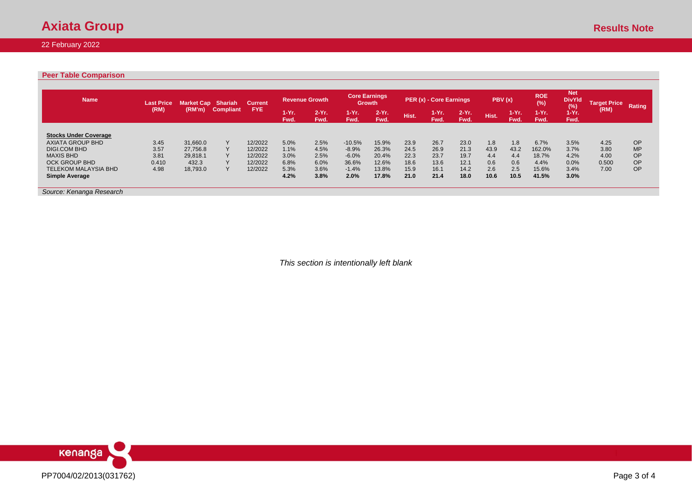# **Axiata Group** Results Note

## 22 February 2022

### **Peer Table Comparison**

| <b>Name</b>                  | <b>Last Price</b> | Market Cap Shariah |                  | <b>Current</b> |                  | <b>Revenue Growth</b> |                  | <b>Core Earnings</b><br><b>Growth</b> |       | PER (x) - Core Earnings |                 |       | PBV(x)          | <b>ROE</b><br>(%) | <b>Net</b><br><b>DivYld</b><br>(%) | <b>Target Price</b> | Rating    |
|------------------------------|-------------------|--------------------|------------------|----------------|------------------|-----------------------|------------------|---------------------------------------|-------|-------------------------|-----------------|-------|-----------------|-------------------|------------------------------------|---------------------|-----------|
|                              | (RM)              | (RM'm)             | <b>Compliant</b> | FYE.           | $1-Yr$ .<br>Fwd. | $2-Yr$ .<br>Fwd.      | $1-Yr$ .<br>Fwd. | $2-Yr$ .<br>Fwd.                      | Hist. | 1-Yr.<br>Fwd.           | $2-Yr.$<br>Fwd. | Hist. | $1-Yr.$<br>Fwd. | $1-Yr.$<br>Fwd.   | $1-Yr$ .<br>Fwd.                   | (RM)                |           |
| <b>Stocks Under Coverage</b> |                   |                    |                  |                |                  |                       |                  |                                       |       |                         |                 |       |                 |                   |                                    |                     |           |
| <b>AXIATA GROUP BHD</b>      | 3.45              | 31.660.0           | $\vee$           | 12/2022        | 5.0%             | 2.5%                  | $-10.5%$         | 15.9%                                 | 23.9  | 26.7                    | 23.0            | 1.8   | 1.8             | 6.7%              | 3.5%                               | 4.25                | OP        |
| <b>DIGI.COM BHD</b>          | 3.57              | 27,756.8           |                  | 12/2022        | 1.1%             | 4.5%                  | $-8.9%$          | 26.3%                                 | 24.5  | 26.9                    | 21.3            | 43.9  | 43.2            | 162.0%            | 3.7%                               | 3.80                | <b>MP</b> |
| <b>MAXIS BHD</b>             | 3.81              | 29.818.1           |                  | 12/2022        | 3.0%             | 2.5%                  | $-6.0%$          | 20.4%                                 | 22.3  | 23.7                    | 19.7            | 4.4   | 4.4             | 18.7%             | 4.2%                               | 4.00                | OP        |
| <b>OCK GROUP BHD</b>         | 0.410             | 432.3              |                  | 12/2022        | 6.8%             | 6.0%                  | 36.6%            | 12.6%                                 | 18.6  | 13.6                    | 12.1            | 0.6   | 0.6             | 4.4%              | 0.0%                               | 0.500               | OP        |
| <b>TELEKOM MALAYSIA BHD</b>  | 4.98              | 18,793.0           |                  | 12/2022        | 5.3%             | 3.6%                  | $-1.4%$          | 13.8%                                 | 15.9  | 16.1                    | 14.2            | 2.6   | 2.5             | 15.6%             | 3.4%                               | 7.00                | OP        |
| Simple Average               |                   |                    |                  |                | 4.2%             | 3.8%                  | 2.0%             | 17.8%                                 | 21.0  | 21.4                    | 18.0            | 10.6  | 10.5            | 41.5%             | 3.0%                               |                     |           |
| Source: Kenanga Research     |                   |                    |                  |                |                  |                       |                  |                                       |       |                         |                 |       |                 |                   |                                    |                     |           |

*This section is intentionally left blank*